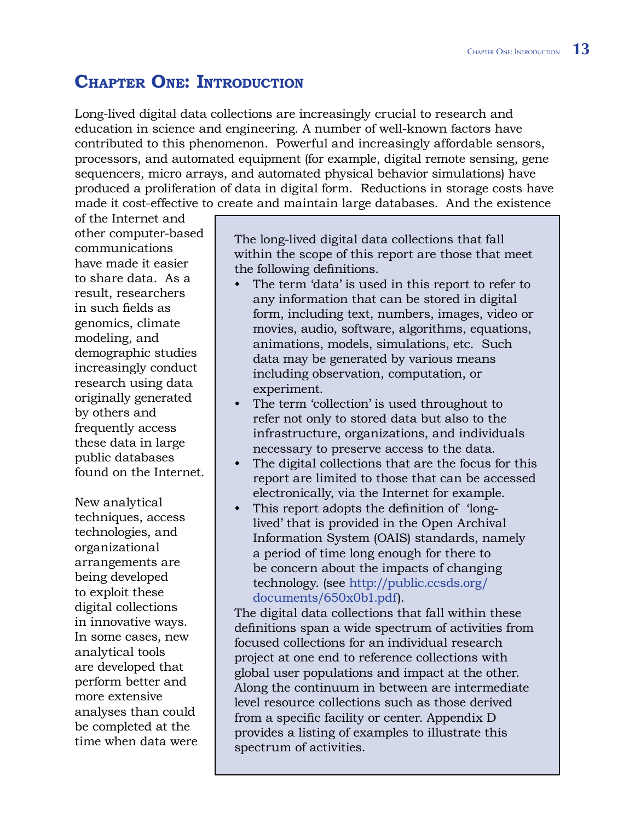## **Chapter One: Introduction**

Long-lived digital data collections are increasingly crucial to research and education in science and engineering. A number of well-known factors have contributed to this phenomenon. Powerful and increasingly affordable sensors, processors, and automated equipment (for example, digital remote sensing, gene sequencers, micro arrays, and automated physical behavior simulations) have produced a proliferation of data in digital form. Reductions in storage costs have made it cost-effective to create and maintain large databases. And the existence

of the Internet and other computer-based communications have made it easier to share data. As a result, researchers in such fields as genomics, climate modeling, and demographic studies increasingly conduct research using data originally generated by others and frequently access these data in large public databases found on the Internet.

New analytical techniques, access technologies, and organizational arrangements are being developed to exploit these digital collections in innovative ways. In some cases, new analytical tools are developed that perform better and more extensive analyses than could be completed at the time when data were The long-lived digital data collections that fall within the scope of this report are those that meet the following definitions.

- The term 'data' is used in this report to refer to any information that can be stored in digital form, including text, numbers, images, video or movies, audio, software, algorithms, equations, animations, models, simulations, etc. Such data may be generated by various means including observation, computation, or experiment. •
- The term 'collection' is used throughout to refer not only to stored data but also to the infrastructure, organizations, and individuals necessary to preserve access to the data. •
- The digital collections that are the focus for this report are limited to those that can be accessed electronically, via the Internet for example. •
- This report adopts the definition of 'longlived' that is provided in the Open Archival Information System (OAIS) standards, namely a period of time long enough for there to be concern about the impacts of changing [technology. \(see http://public.ccsds.org/](http://public.ccsds.org/documents/650x0b1.pdf) documents/650x0b1.pdf). •

The digital data collections that fall within these definitions span a wide spectrum of activities from focused collections for an individual research project at one end to reference collections with global user populations and impact at the other. Along the continuum in between are intermediate level resource collections such as those derived from a specific facility or center. Appendix D provides a listing of examples to illustrate this spectrum of activities.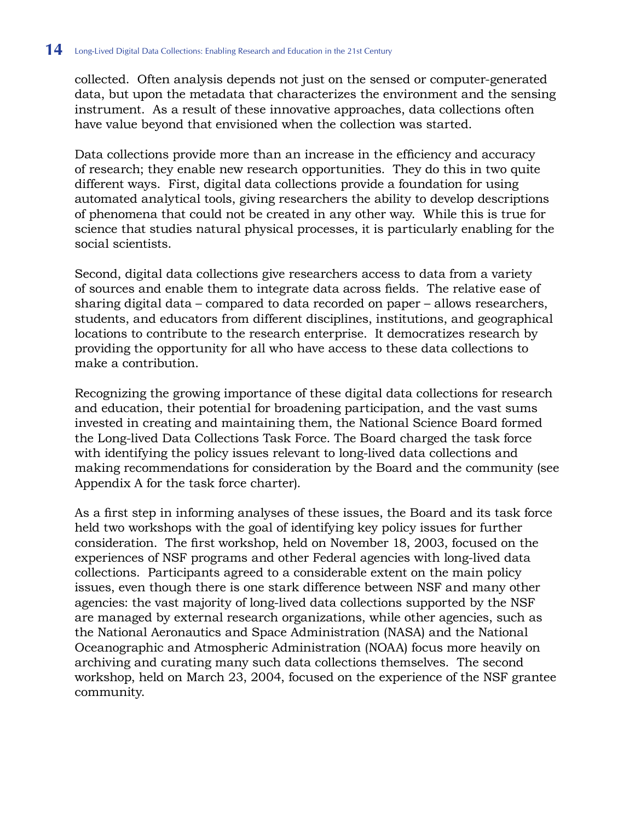collected. Often analysis depends not just on the sensed or computer-generated data, but upon the metadata that characterizes the environment and the sensing instrument. As a result of these innovative approaches, data collections often have value beyond that envisioned when the collection was started.

Data collections provide more than an increase in the efficiency and accuracy of research; they enable new research opportunities. They do this in two quite different ways. First, digital data collections provide a foundation for using automated analytical tools, giving researchers the ability to develop descriptions of phenomena that could not be created in any other way. While this is true for science that studies natural physical processes, it is particularly enabling for the social scientists.

Second, digital data collections give researchers access to data from a variety of sources and enable them to integrate data across fields. The relative ease of sharing digital data – compared to data recorded on paper – allows researchers, students, and educators from different disciplines, institutions, and geographical locations to contribute to the research enterprise. It democratizes research by providing the opportunity for all who have access to these data collections to make a contribution.

Recognizing the growing importance of these digital data collections for research and education, their potential for broadening participation, and the vast sums invested in creating and maintaining them, the National Science Board formed the Long-lived Data Collections Task Force. The Board charged the task force with identifying the policy issues relevant to long-lived data collections and making recommendations for consideration by the Board and the community (see Appendix A for the task force charter).

As a first step in informing analyses of these issues, the Board and its task force held two workshops with the goal of identifying key policy issues for further consideration. The first workshop, held on November 18, 2003, focused on the experiences of NSF programs and other Federal agencies with long-lived data collections. Participants agreed to a considerable extent on the main policy issues, even though there is one stark difference between NSF and many other agencies: the vast majority of long-lived data collections supported by the NSF are managed by external research organizations, while other agencies, such as the National Aeronautics and Space Administration (NASA) and the National Oceanographic and Atmospheric Administration (NOAA) focus more heavily on archiving and curating many such data collections themselves. The second workshop, held on March 23, 2004, focused on the experience of the NSF grantee community.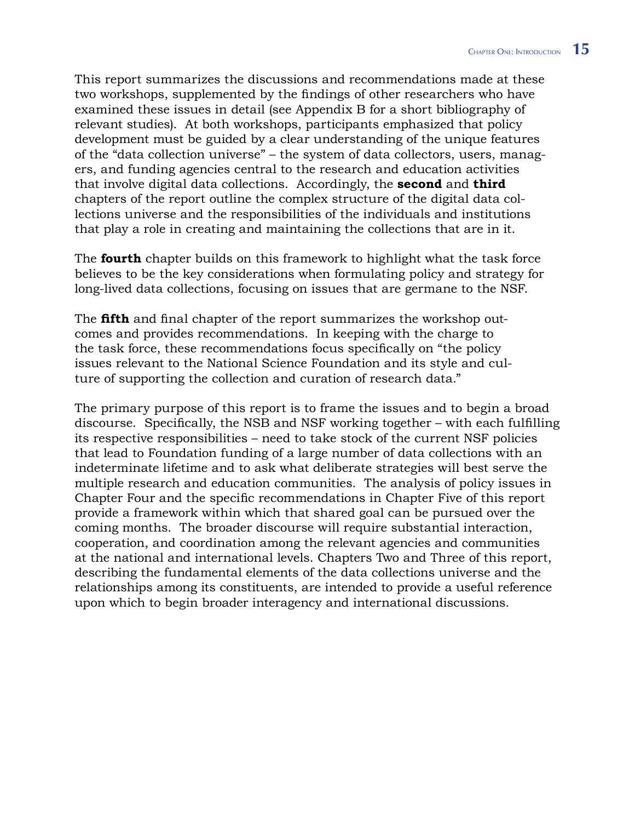This report summarizes the discussions and recommendations made at these two workshops, supplemented by the findings of other researchers who have examined these issues in detail (see Appendix B for a short bibliography of relevant studies). At both workshops, participants emphasized that policy development must be guided by a clear understanding of the unique features of the "data collection universe" – the system of data collectors, users, managers, and funding agencies central to the research and education activities that involve digital data collections. Accordingly, the **second** and **third** chapters of the report outline the complex structure of the digital data collections universe and the responsibilities of the individuals and institutions that play a role in creating and maintaining the collections that are in it.

The **fourth** chapter builds on this framework to highlight what the task force believes to be the key considerations when formulating policy and strategy for long-lived data collections, focusing on issues that are germane to the NSF.

The **fifth** and final chapter of the report summarizes the workshop outcomes and provides recommendations. In keeping with the charge to the task force, these recommendations focus specifically on "the policy issues relevant to the National Science Foundation and its style and culture of supporting the collection and curation of research data."

The primary purpose of this report is to frame the issues and to begin a broad discourse. Specifically, the NSB and NSF working together – with each fulfilling its respective responsibilities – need to take stock of the current NSF policies that lead to Foundation funding of a large number of data collections with an indeterminate lifetime and to ask what deliberate strategies will best serve the multiple research and education communities. The analysis of policy issues in Chapter Four and the specific recommendations in Chapter Five of this report provide a framework within which that shared goal can be pursued over the coming months. The broader discourse will require substantial interaction, cooperation, and coordination among the relevant agencies and communities at the national and international levels. Chapters Two and Three of this report, describing the fundamental elements of the data collections universe and the relationships among its constituents, are intended to provide a useful reference upon which to begin broader interagency and international discussions.